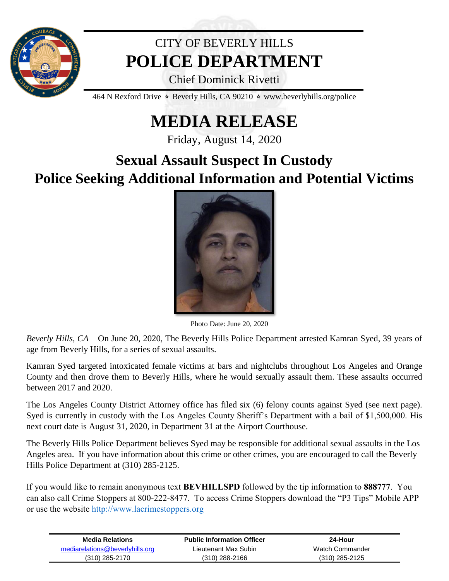

## CITY OF BEVERLY HILLS **POLICE DEPARTMENT**

Chief Dominick Rivetti

464 N Rexford Drive  $\star$  Beverly Hills, CA 90210  $\star$  www.beverlyhills.org/police

## **MEDIA RELEASE**

Friday, August 14, 2020

## **Sexual Assault Suspect In Custody Police Seeking Additional Information and Potential Victims**



Photo Date: June 20, 2020

*Beverly Hills, CA* – On June 20, 2020, The Beverly Hills Police Department arrested Kamran Syed, 39 years of age from Beverly Hills, for a series of sexual assaults.

Kamran Syed targeted intoxicated female victims at bars and nightclubs throughout Los Angeles and Orange County and then drove them to Beverly Hills, where he would sexually assault them. These assaults occurred between 2017 and 2020.

The Los Angeles County District Attorney office has filed six (6) felony counts against Syed (see next page). Syed is currently in custody with the Los Angeles County Sheriff's Department with a bail of \$1,500,000. His next court date is August 31, 2020, in Department 31 at the Airport Courthouse.

The Beverly Hills Police Department believes Syed may be responsible for additional sexual assaults in the Los Angeles area. If you have information about this crime or other crimes, you are encouraged to call the Beverly Hills Police Department at (310) 285-2125.

If you would like to remain anonymous text **BEVHILLSPD** followed by the tip information to **888777**. You can also call Crime Stoppers at 800-222-8477. To access Crime Stoppers download the "P3 Tips" Mobile APP or use the website [http://www.lacrimestoppers.org](http://www.lacrimestoppers.org/) 

| <b>Media Relations</b>          | <b>Public Information Officer</b> | 24-Hour          |
|---------------------------------|-----------------------------------|------------------|
| mediarelations@beverlyhills.org | Lieutenant Max Subin              | Watch Commander  |
| $(310)$ 285-2170                | (310) 288-2166                    | $(310)$ 285-2125 |